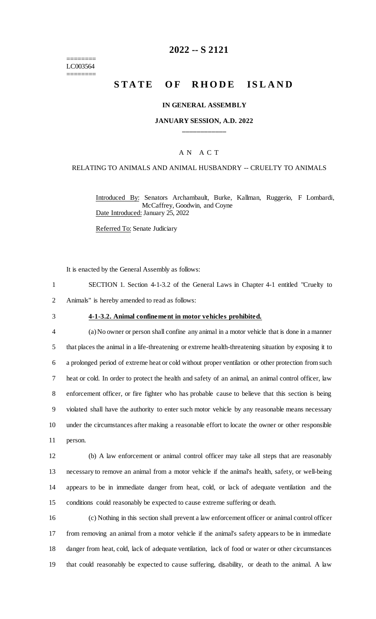======== LC003564 ========

# **2022 -- S 2121**

# **STATE OF RHODE ISLAND**

#### **IN GENERAL ASSEMBLY**

### **JANUARY SESSION, A.D. 2022 \_\_\_\_\_\_\_\_\_\_\_\_**

### A N A C T

### RELATING TO ANIMALS AND ANIMAL HUSBANDRY -- CRUELTY TO ANIMALS

Introduced By: Senators Archambault, Burke, Kallman, Ruggerio, F Lombardi, McCaffrey, Goodwin, and Coyne Date Introduced: January 25, 2022

Referred To: Senate Judiciary

It is enacted by the General Assembly as follows:

- 1 SECTION 1. Section 4-1-3.2 of the General Laws in Chapter 4-1 entitled "Cruelty to
- 2 Animals" is hereby amended to read as follows:
- 

#### 3 **4-1-3.2. Animal confinement in motor vehicles prohibited.**

 (a) No owner or person shall confine any animal in a motor vehicle that is done in a manner that places the animal in a life-threatening or extreme health-threatening situation by exposing it to a prolonged period of extreme heat or cold without proper ventilation or other protection from such heat or cold. In order to protect the health and safety of an animal, an animal control officer, law enforcement officer, or fire fighter who has probable cause to believe that this section is being violated shall have the authority to enter such motor vehicle by any reasonable means necessary under the circumstances after making a reasonable effort to locate the owner or other responsible 11 person.

 (b) A law enforcement or animal control officer may take all steps that are reasonably necessary to remove an animal from a motor vehicle if the animal's health, safety, or well-being appears to be in immediate danger from heat, cold, or lack of adequate ventilation and the conditions could reasonably be expected to cause extreme suffering or death.

 (c) Nothing in this section shall prevent a law enforcement officer or animal control officer from removing an animal from a motor vehicle if the animal's safety appears to be in immediate danger from heat, cold, lack of adequate ventilation, lack of food or water or other circumstances that could reasonably be expected to cause suffering, disability, or death to the animal. A law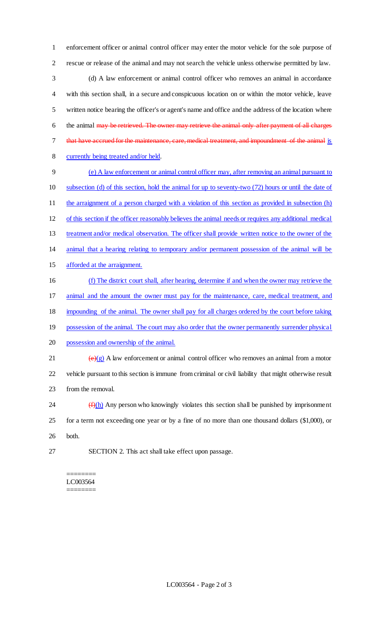enforcement officer or animal control officer may enter the motor vehicle for the sole purpose of rescue or release of the animal and may not search the vehicle unless otherwise permitted by law.

 (d) A law enforcement or animal control officer who removes an animal in accordance with this section shall, in a secure and conspicuous location on or within the motor vehicle, leave written notice bearing the officer's or agent's name and office and the address of the location where the animal may be retrieved. The owner may retrieve the animal only after payment of all charges 7 that have accrued for the maintenance, care, medical treatment, and impoundment of the animal is currently being treated and/or held.

 (e) A law enforcement or animal control officer may, after removing an animal pursuant to subsection (d) of this section, hold the animal for up to seventy-two (72) hours or until the date of 11 the arraignment of a person charged with a violation of this section as provided in subsection (h) of this section if the officer reasonably believes the animal needs or requires any additional medical treatment and/or medical observation. The officer shall provide written notice to the owner of the animal that a hearing relating to temporary and/or permanent possession of the animal will be afforded at the arraignment. (f) The district court shall, after hearing, determine if and when the owner may retrieve the animal and the amount the owner must pay for the maintenance, care, medical treatment, and impounding of the animal. The owner shall pay for all charges ordered by the court before taking 19 possession of the animal. The court may also order that the owner permanently surrender physical possession and ownership of the animal.

21  $(e)(g)$  A law enforcement or animal control officer who removes an animal from a motor vehicle pursuant to this section is immune from criminal or civil liability that might otherwise result from the removal.

 ( $f(\underline{h})$  Any person who knowingly violates this section shall be punished by imprisonment for a term not exceeding one year or by a fine of no more than one thousand dollars (\$1,000), or both.

SECTION 2. This act shall take effect upon passage.

======== LC003564 ========